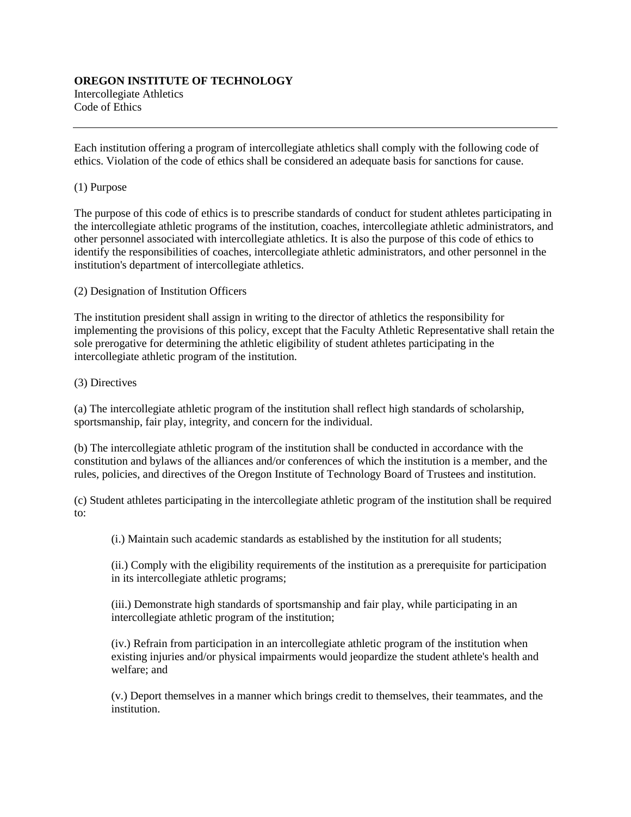## **OREGON INSTITUTE OF TECHNOLOGY** Intercollegiate Athletics Code of Ethics

Each institution offering a program of intercollegiate athletics shall comply with the following code of ethics. Violation of the code of ethics shall be considered an adequate basis for sanctions for cause.

## (1) Purpose

The purpose of this code of ethics is to prescribe standards of conduct for student athletes participating in the intercollegiate athletic programs of the institution, coaches, intercollegiate athletic administrators, and other personnel associated with intercollegiate athletics. It is also the purpose of this code of ethics to identify the responsibilities of coaches, intercollegiate athletic administrators, and other personnel in the institution's department of intercollegiate athletics.

(2) Designation of Institution Officers

The institution president shall assign in writing to the director of athletics the responsibility for implementing the provisions of this policy, except that the Faculty Athletic Representative shall retain the sole prerogative for determining the athletic eligibility of student athletes participating in the intercollegiate athletic program of the institution.

## (3) Directives

(a) The intercollegiate athletic program of the institution shall reflect high standards of scholarship, sportsmanship, fair play, integrity, and concern for the individual.

(b) The intercollegiate athletic program of the institution shall be conducted in accordance with the constitution and bylaws of the alliances and/or conferences of which the institution is a member, and the rules, policies, and directives of the Oregon Institute of Technology Board of Trustees and institution.

(c) Student athletes participating in the intercollegiate athletic program of the institution shall be required to:

(i.) Maintain such academic standards as established by the institution for all students;

(ii.) Comply with the eligibility requirements of the institution as a prerequisite for participation in its intercollegiate athletic programs;

(iii.) Demonstrate high standards of sportsmanship and fair play, while participating in an intercollegiate athletic program of the institution;

(iv.) Refrain from participation in an intercollegiate athletic program of the institution when existing injuries and/or physical impairments would jeopardize the student athlete's health and welfare; and

(v.) Deport themselves in a manner which brings credit to themselves, their teammates, and the institution.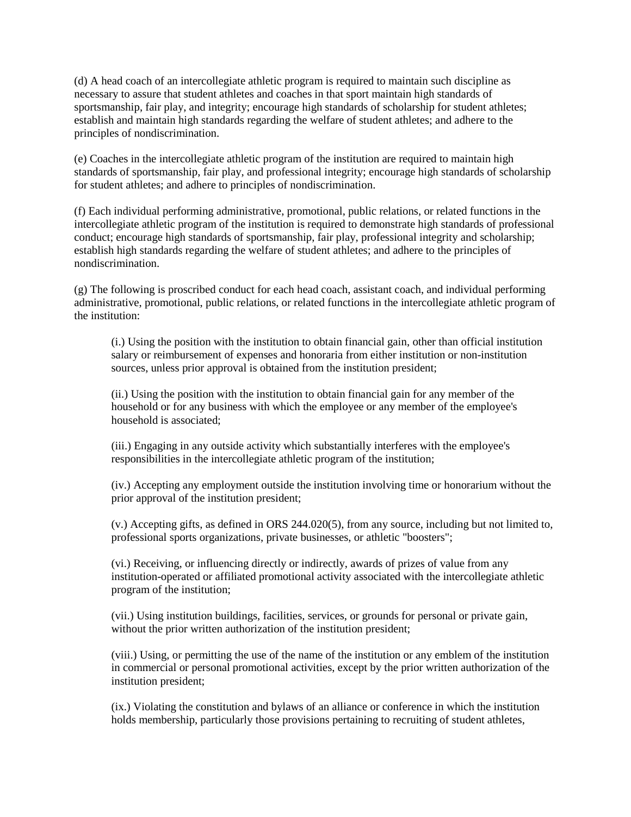(d) A head coach of an intercollegiate athletic program is required to maintain such discipline as necessary to assure that student athletes and coaches in that sport maintain high standards of sportsmanship, fair play, and integrity; encourage high standards of scholarship for student athletes; establish and maintain high standards regarding the welfare of student athletes; and adhere to the principles of nondiscrimination.

(e) Coaches in the intercollegiate athletic program of the institution are required to maintain high standards of sportsmanship, fair play, and professional integrity; encourage high standards of scholarship for student athletes; and adhere to principles of nondiscrimination.

(f) Each individual performing administrative, promotional, public relations, or related functions in the intercollegiate athletic program of the institution is required to demonstrate high standards of professional conduct; encourage high standards of sportsmanship, fair play, professional integrity and scholarship; establish high standards regarding the welfare of student athletes; and adhere to the principles of nondiscrimination.

(g) The following is proscribed conduct for each head coach, assistant coach, and individual performing administrative, promotional, public relations, or related functions in the intercollegiate athletic program of the institution:

(i.) Using the position with the institution to obtain financial gain, other than official institution salary or reimbursement of expenses and honoraria from either institution or non-institution sources, unless prior approval is obtained from the institution president;

(ii.) Using the position with the institution to obtain financial gain for any member of the household or for any business with which the employee or any member of the employee's household is associated;

(iii.) Engaging in any outside activity which substantially interferes with the employee's responsibilities in the intercollegiate athletic program of the institution;

(iv.) Accepting any employment outside the institution involving time or honorarium without the prior approval of the institution president;

(v.) Accepting gifts, as defined in ORS 244.020(5), from any source, including but not limited to, professional sports organizations, private businesses, or athletic "boosters";

(vi.) Receiving, or influencing directly or indirectly, awards of prizes of value from any institution-operated or affiliated promotional activity associated with the intercollegiate athletic program of the institution;

(vii.) Using institution buildings, facilities, services, or grounds for personal or private gain, without the prior written authorization of the institution president;

(viii.) Using, or permitting the use of the name of the institution or any emblem of the institution in commercial or personal promotional activities, except by the prior written authorization of the institution president;

(ix.) Violating the constitution and bylaws of an alliance or conference in which the institution holds membership, particularly those provisions pertaining to recruiting of student athletes,